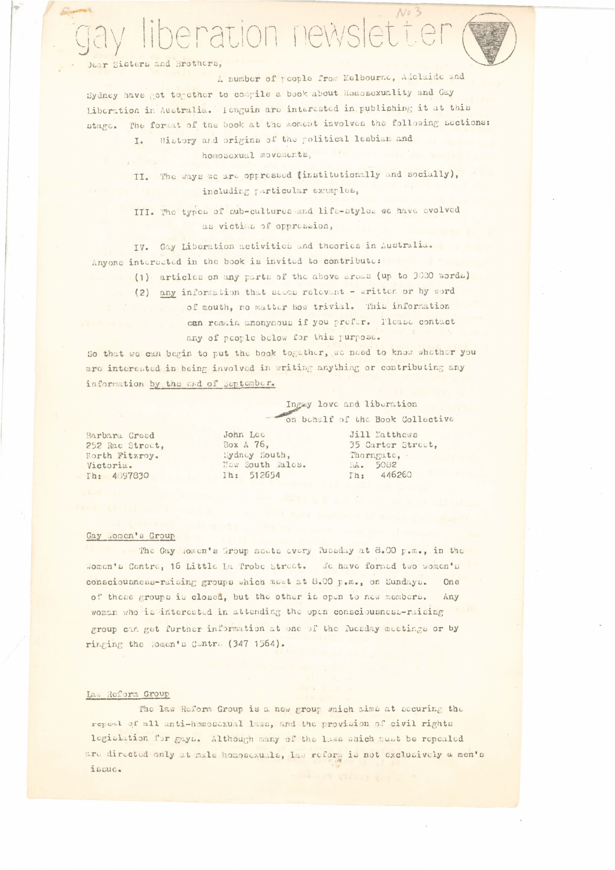# $N03$ liberation newslette

Dear Sisters and Brothers,

A number of people from Melbourne, Adelaide and Sydney have got together to compile a book about Homosexuality and Gay Liberation in Australia. Ienguin are interested in publishing it at this The format of the book at the moment involves the following sections: stage.

History and origins of the political lesbian and I. homoscxual movements, 

II. The ways we are oppressed (institutionally and socially), including particular examples,

III. The typen of sub-cultures and life-styles we have evolved as victims of oppression,

Gay Liberation activities and theories in Australia. TV. Anyone interested in the book is invited to contribute:

- (1) articles on any parts of the above areas (up to 3000 words)
- (2) any information that seems relevant written or by word
	- of mouth, no matter how trivial. This information can remain anonymous if you prefer. Please contact any of people below for this purpose.

So that we can begin to put the book together, we need to know whether you are interested in being involved in writing anything or contributing any information by the cad of September.

> Ingay love and liberation on bohalf of the Book Collective

Barbara Creed 252 Rae Street, North Fitzroy. Victoria. Th: 4897830

John Lee Box A 76, Sydney South, Now South Males. Ih: 512654

Jill Matthews 35 Carter Street, Thorngate, 5082 SA. Ih: 446260

### Gay Momen's Group

The Gay Homen's Group motts every fuesday at 8.00 p.m., in the Women's Centre, 16 Little La Trobe Street. We have formed two women's consciousness-raising groups which most at 8.00 p.m., on Sundays. One of those groups is closed, but the other is open to new members. Any woman who is interested in attending the open consciousness-ruising group can get further information at one of the fuesday moetings or by ringing the Women's Contro (347 1564).

### Law Reform Group

The law Reform Group is a new group which aims at securing the repeal of all anti-homoscxual laws, and the provision of civil rights legislation for gays. Although many of the lass which must be repealed are directed only at male homosexuals, law reform is not exclusively a men's issuc.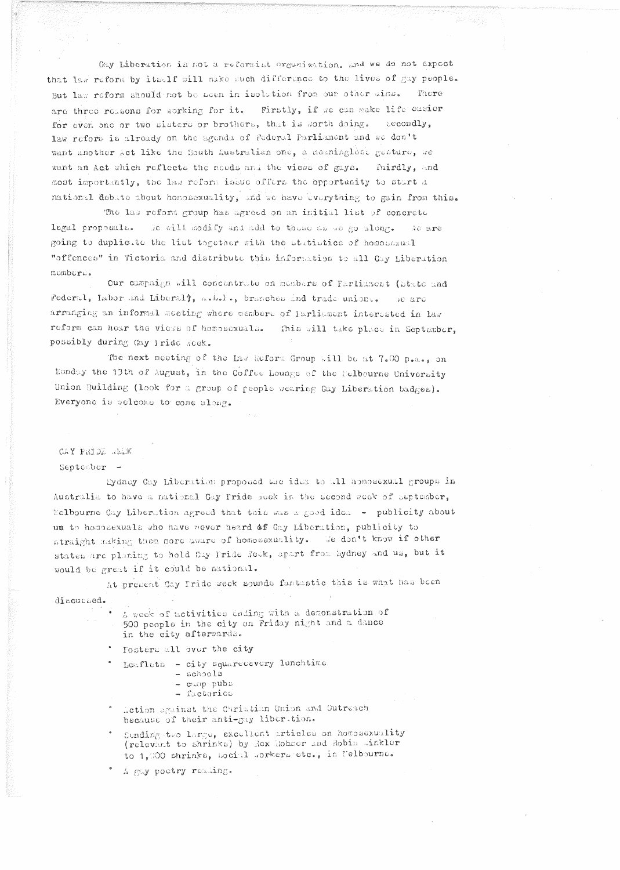Gay Liberation is not a reformist organization, and we do not expect that law reform by itself will make much difference to the lives of gay people. But law reform should not be acen in isolation from our other aims. There are three reasons for working for it. Firstly, if we can make life easier for even one or two sisters or brothers, that is sorth doing. Secondly. law reform is alroady on the agenda of Federal Parliament and we don't want another Act like the South Australian one, a meaninglest gesture, we want an Act which reflects the needs and the views of gays. Thirdly. and most importantly, the las reform issue offers the opportunity to start a national debate about homosexuality, and we have everything to gain from this.

The las reform group has agreed on an initial list of concrete We will modify and add to those as we go along. legal proposals. No are going to duplicate the list together with the statistics of homosexual "offences" in Victoria and distribute this information to all Gay Liberation momber<sub>s</sub>.

Our campaign will concentrate on members of Farliament (btate and Federal, Labor and Liberal), ashele, branches and trade unions. se arc arranging an informal meeting where members of Farliament interested in law reform can hear the views of homosexuals. This will take place in September, possibly during Gay Tride Week.

The next meeting of the Law Reform Group will be at 7.00 p.m., on Monday the 13th of August, in the Coffee Lounge of the Eelbourne University Union Building (look for a group of people wearing Gay Liberation badges). Everyone is welcome to come along.

CAY PRIDE WEEK

September

Sydney Cay Liberation proposed the idea to all homosexual groups in Australia to have a national Gay Fride week in the second week of september, Melbourne Gay Liberation agreed that this was a good idea - publicity about us to homosexuals who have never heard of Gay Liberation, publicity to straight making them more aware of homosexuality. We don't know if other states are planing to hold Cay Pride Jeck, apart from Sydney and us, but it would be great if it could be national.

At present Cay Tride week sounds fantastic this is what has been

discussed.

A week of activities deding with a demonstration of 500 people in the city on Friday night and a dance in the city afterwards.

Fosters all over the city

Leaflets - city squarecevery lunchtime

- achools
- camp pubs
- factories
- Action against the Christian Union and Outreach because of their anti-gay liberation.
- Sending two large, excellent articles on homosexuality (relevant to shrinks) by Rex Mohner and Robin .inkler to 1,000 shrinks, social workers etc., in Nelbourne.
- A gay poetry reading.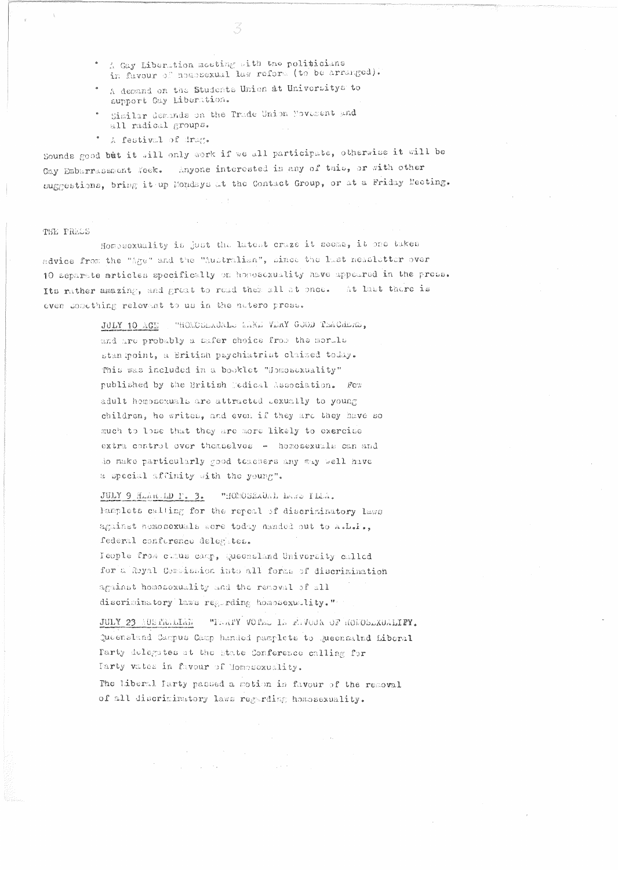- A Gay Liberation meeting with the politicians in favour of nonosexual law reform (to be arranged).
- A demand on the Students Union at Universitys to support Gay Liberation.
- Similar demands on the Trade Union Novement and all radical groups.
- A festival of drag.

Sounds good but it will only work if we all participate, otherwise it will be Gay Embarrassment Week. Anyone interested in any of this, or with other suggestions, bring it up Mondays at the Contact Group, or at a Friday Meeting.

# THE PRESS

Homosexuality is just the latent craze it seems, it one takes advice from the "Age" and the "Australian", since the last neasletter over 10 separate articles specifically on honoscxuality have appeared in the press. Its rather amazing, and great to read them all at once. At last there is even something relevant to us in the natero press.

> JULY 10 AGE , "HOMOSEAUALE AAKE VERY GOOD TEACHERS, and are probably a safer choice from the morals stan moint, a British psychiatrist claimed today. This was included in a booklet "Homosexuality" published by the British Medical Association. For adult homosexuals are attracted Lexually to young children, he writes, and even if they are they have so much to lose that they are more likely to exercise extra control over thomselves - homosexuals can and do make particularly good teachers any may well have a special affinity with the young".

> JULY 9 HLARAD T. 3. "HOMOSEXUAL LARS PLAA. Hamplets calling for the repeal of discriminatory laws against homosexuals were today nanded out to A.L.F., federal conference delegates. Icople from curus camp, Queensland University called

> for a Royal Complission into all forms of discrimination against homosexuality and the removal of all discriminatory laws regurding homosexuality."

"TEATY VOIEL IN FEVOUR OF HOMOSEXUALIFY. JULY 23 AUSTRALIAN Queensland Campus Camp handed pamplets to Queensalnd Liberal Farty delegates at the State Conference calling for Tarty vates in favour of Homosoxuality.

The liberal Party passed a motion in favour of the removal of all discriminatory laws regarding homosexuality.

> $\sim 100$ **Contractor**  $\label{eq:2.1} \begin{split} \mathcal{L}_{\mathcal{A}}(\mathbf{r}) & = \mathcal{L}_{\mathcal{A}}(\mathbf{r}) \mathcal{L}_{\mathcal{A}}(\mathbf{r}) \mathcal{L}_{\mathcal{A}}(\mathbf{r}) \\ & = \mathcal{L}_{\mathcal{A}}(\mathbf{r}) \mathcal{L}_{\mathcal{A}}(\mathbf{r}) \mathcal{L}_{\mathcal{A}}(\mathbf{r}) \mathcal{L}_{\mathcal{A}}(\mathbf{r}) \mathcal{L}_{\mathcal{A}}(\mathbf{r}) \mathcal{L}_{\mathcal{A}}(\mathbf{r}) \mathcal{L}_{\mathcal{A}}(\mathbf{r}) \mathcal$  $\mathcal{L}_{\text{max}}$  and  $\mathcal{L}_{\text{max}}$  . We can also

San Jaw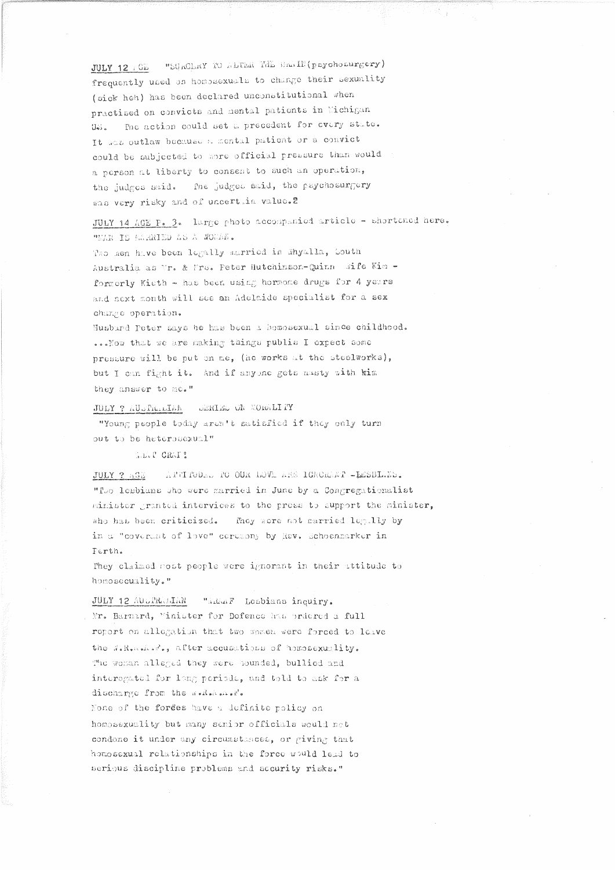JULY 12 (GE "SURGERY TO ALTER THE BRAIN(psychosurgery) frequently used on homogexuals to change their sexuality (sick heh) has been declared unconstitutional when practised on convicts and mental patients in Wichigan Us. The action could set a precedent for every state. It was outlaw because a mental patient or a convict could be subjected to more official pressure than would a person at liberty to consent to such an operation, the judges said. The judges said, the psychosurgery was very risky and of uncertian value. 2

JULY 14 AGE P. 3. large photo accompanied article - shortcaed here, "MAN IS MARIED AS A WOMAW.

Two men have been legally married in Whyalla, South Australia as Vr. & Frs. Peter Hutchinson-Quinn Wife Kim formerly Kieth - has been using hormone drugs for 4 years and next month will see an Adelaide specialist for a sex change operation.

Husband Peter says he has been a homosexual since childhood. ... Now that we are making things publis I expect some pressure will be put on me, (he works at the steelworks), but I can fight it. And if anyone gets masty with kim they answer to me."

## JULY ? AUSTRALIAN SERIES ON MORALITY

"Young people today aren't satisfied if they only turn out to be heterosexual"

W.D.P GRAT ?

JULY ? AGE ATTITUDED TO OUR LOVE ARE IGNORAT -LESBIANS. "Ivo lesbians who were married in June by a Congregationalist minister granted interviews to the press to support the minister, who has been criticized. Fhey were not married legally by in a "coverant of love" ceremony by Rev. Schoenmarker in Ferth.

They claimed most people were ignorant in their attitude to homosecuality."

JULY 12 AUGRAJIAN "Adap Lesbians inquiry. Mr. Barnard, "inister for Dofence has ordered a full report on allegation that two women were forced to leave the J.R. A. P., after accusations of hososexuality. The woman alleged they were hounded, bullied and interegated for long periods, and told to ask for a discharge from the wellsheded.

None of the forces have a definite policy on homosexuality but many semior officials would not condone it under any circumstances, or giving that homosexual relationships in the force would lead to serious discipline problems and security risks."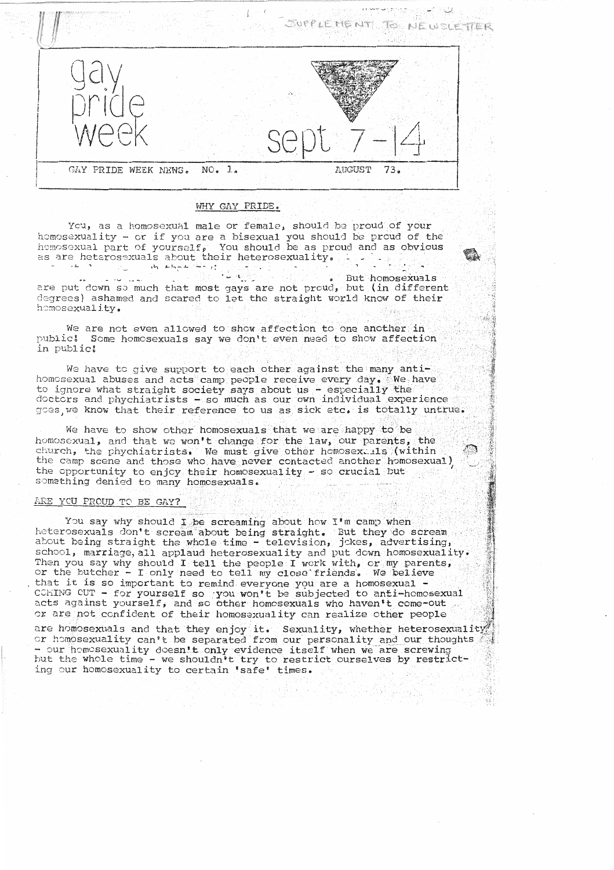

#### WHY GAY PRIDE.

You, as a homosexual male or female, should be proud of your homosexuality - or if you are a bisexual you should be proud of the homosexual part of yourself, You should be as proud and as obvious as are heterosexuals about their heterosexuality.  $\mathcal{O}(\mathcal{O}_\mathcal{A})$  .

. But homosexuals  $\frac{1}{2}$   $\frac{1}{2}$   $\frac{1}{2}$   $\frac{1}{2}$   $\frac{1}{2}$   $\frac{1}{2}$   $\frac{1}{2}$ are put down so much that most gays are not proud, but (in different degrees) ashamed and scared to let the straight world know of their homosexuality.

We are not even allowed to show affection to one another in public: Some homosexuals say we don't even need to show affection in public!

We have to give support to each other against the many antihomosexual abuses and acts camp people receive every day. We have to ignore what straight society says about us - especially the doctors and phychiatrists - so much as our own individual experience goes, we know that their reference to us as sick etc. is totally untrue.

We have to show other homosexuals that we are happy to be homosexual, and that we won't change for the law, our parents, the church, the phychiatrists. We must give other homosex is (within the camp scene and those who have never contacted another homosexual) the opportunity to enjoy their homosexuality - so crucial but something denied to many homosexuals.

# ARE YOU PROUD TO BE GAY?

You say why should I be screaming about how I'm camp when heterosexuals don't scream about being straight. But they do scream about being straight the whole time - television, jokes, advertising, school, marriage, all applaud heterosexuality and put down homosexuality. Then you say why should I tell the people I work with, or my parents, or the butcher - I only need to tell my close friends. We believe that it is so important to remind everyone you are a homosexual -CCMING CUT - for yourself so you won't be subjected to anti-homosexual acts against yourself, and so other homosexuals who haven't come-out or are not confident of their homosexuality can realize other people

are homosexuals and that they enjoy it. Sexuality, whether heterosexuality or homosexuality can't be separated from our personality and our thoughts - our homosexuality doesn't only evidence itself when we are screwing but the whole time - we shouldn't try to restrict ourselves by restricting our homosexuality to certain 'safe' times.